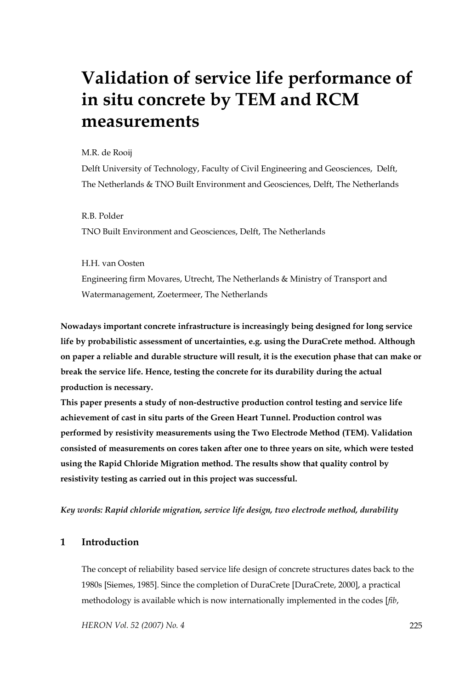# **Validation of service life performance of in situ concrete by TEM and RCM measurements**

M.R. de Rooij

Delft University of Technology, Faculty of Civil Engineering and Geosciences, Delft, The Netherlands & TNO Built Environment and Geosciences, Delft, The Netherlands

R.B. Polder TNO Built Environment and Geosciences, Delft, The Netherlands

H.H. van Oosten Engineering firm Movares, Utrecht, The Netherlands & Ministry of Transport and Watermanagement, Zoetermeer, The Netherlands

**Nowadays important concrete infrastructure is increasingly being designed for long service life by probabilistic assessment of uncertainties, e.g. using the DuraCrete method. Although on paper a reliable and durable structure will result, it is the execution phase that can make or break the service life. Hence, testing the concrete for its durability during the actual production is necessary.** 

**This paper presents a study of non-destructive production control testing and service life achievement of cast in situ parts of the Green Heart Tunnel. Production control was performed by resistivity measurements using the Two Electrode Method (TEM). Validation consisted of measurements on cores taken after one to three years on site, which were tested using the Rapid Chloride Migration method. The results show that quality control by resistivity testing as carried out in this project was successful.** 

*Key words: Rapid chloride migration, service life design, two electrode method, durability* 

#### **1 Introduction**

The concept of reliability based service life design of concrete structures dates back to the 1980s [Siemes, 1985]. Since the completion of DuraCrete [DuraCrete, 2000], a practical methodology is available which is now internationally implemented in the codes [*fib*,

*HERON Vol. 52 (2007) No. 4* 225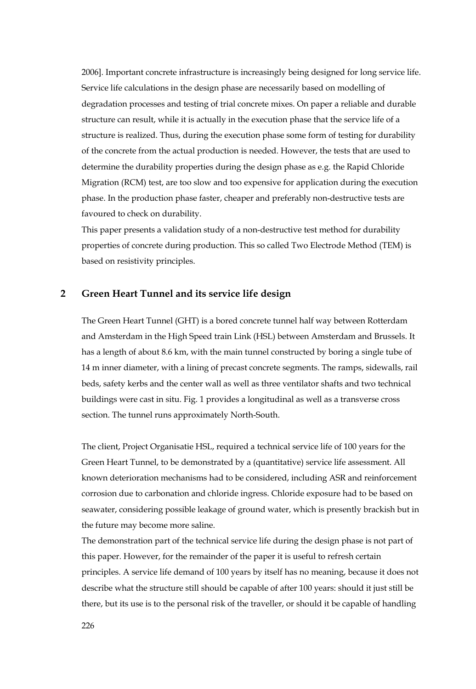2006]. Important concrete infrastructure is increasingly being designed for long service life. Service life calculations in the design phase are necessarily based on modelling of degradation processes and testing of trial concrete mixes. On paper a reliable and durable structure can result, while it is actually in the execution phase that the service life of a structure is realized. Thus, during the execution phase some form of testing for durability of the concrete from the actual production is needed. However, the tests that are used to determine the durability properties during the design phase as e.g. the Rapid Chloride Migration (RCM) test, are too slow and too expensive for application during the execution phase. In the production phase faster, cheaper and preferably non-destructive tests are favoured to check on durability.

This paper presents a validation study of a non-destructive test method for durability properties of concrete during production. This so called Two Electrode Method (TEM) is based on resistivity principles.

# **2 Green Heart Tunnel and its service life design**

The Green Heart Tunnel (GHT) is a bored concrete tunnel half way between Rotterdam and Amsterdam in the High Speed train Link (HSL) between Amsterdam and Brussels. It has a length of about 8.6 km, with the main tunnel constructed by boring a single tube of 14 m inner diameter, with a lining of precast concrete segments. The ramps, sidewalls, rail beds, safety kerbs and the center wall as well as three ventilator shafts and two technical buildings were cast in situ. Fig. 1 provides a longitudinal as well as a transverse cross section. The tunnel runs approximately North-South.

The client, Project Organisatie HSL, required a technical service life of 100 years for the Green Heart Tunnel, to be demonstrated by a (quantitative) service life assessment. All known deterioration mechanisms had to be considered, including ASR and reinforcement corrosion due to carbonation and chloride ingress. Chloride exposure had to be based on seawater, considering possible leakage of ground water, which is presently brackish but in the future may become more saline.

The demonstration part of the technical service life during the design phase is not part of this paper. However, for the remainder of the paper it is useful to refresh certain principles. A service life demand of 100 years by itself has no meaning, because it does not describe what the structure still should be capable of after 100 years: should it just still be there, but its use is to the personal risk of the traveller, or should it be capable of handling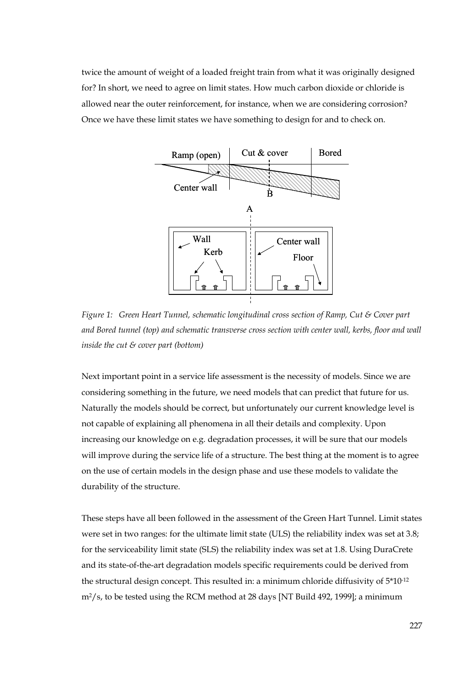twice the amount of weight of a loaded freight train from what it was originally designed for? In short, we need to agree on limit states. How much carbon dioxide or chloride is allowed near the outer reinforcement, for instance, when we are considering corrosion? Once we have these limit states we have something to design for and to check on.



*Figure 1: Green Heart Tunnel, schematic longitudinal cross section of Ramp, Cut & Cover part and Bored tunnel (top) and schematic transverse cross section with center wall, kerbs, floor and wall inside the cut & cover part (bottom)* 

Next important point in a service life assessment is the necessity of models. Since we are considering something in the future, we need models that can predict that future for us. Naturally the models should be correct, but unfortunately our current knowledge level is not capable of explaining all phenomena in all their details and complexity. Upon increasing our knowledge on e.g. degradation processes, it will be sure that our models will improve during the service life of a structure. The best thing at the moment is to agree on the use of certain models in the design phase and use these models to validate the durability of the structure.

These steps have all been followed in the assessment of the Green Hart Tunnel. Limit states were set in two ranges: for the ultimate limit state (ULS) the reliability index was set at 3.8; for the serviceability limit state (SLS) the reliability index was set at 1.8. Using DuraCrete and its state-of-the-art degradation models specific requirements could be derived from the structural design concept. This resulted in: a minimum chloride diffusivity of 5\*10-12  $m^2$ /s, to be tested using the RCM method at 28 days [NT Build 492, 1999]; a minimum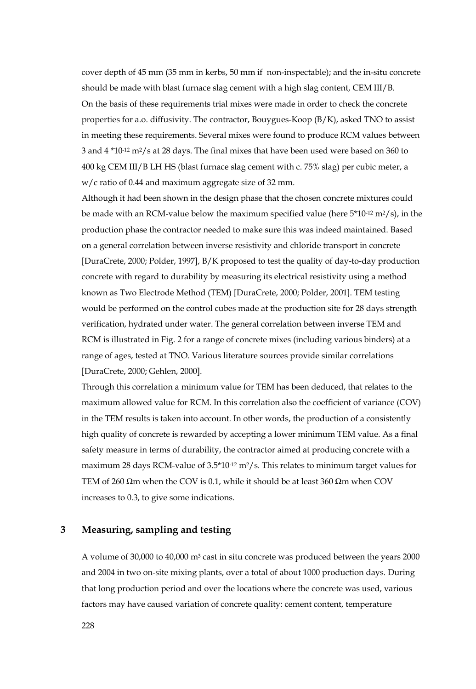cover depth of 45 mm (35 mm in kerbs, 50 mm if non-inspectable); and the in-situ concrete should be made with blast furnace slag cement with a high slag content, CEM III/B. On the basis of these requirements trial mixes were made in order to check the concrete properties for a.o. diffusivity. The contractor, Bouygues-Koop (B/K), asked TNO to assist in meeting these requirements. Several mixes were found to produce RCM values between 3 and 4 \*10-12 m2/s at 28 days. The final mixes that have been used were based on 360 to 400 kg CEM III/B LH HS (blast furnace slag cement with c. 75% slag) per cubic meter, a w/c ratio of 0.44 and maximum aggregate size of 32 mm.

Although it had been shown in the design phase that the chosen concrete mixtures could be made with an RCM-value below the maximum specified value (here  $5*10^{-12}$  m<sup>2</sup>/s), in the production phase the contractor needed to make sure this was indeed maintained. Based on a general correlation between inverse resistivity and chloride transport in concrete [DuraCrete, 2000; Polder, 1997], B/K proposed to test the quality of day-to-day production concrete with regard to durability by measuring its electrical resistivity using a method known as Two Electrode Method (TEM) [DuraCrete, 2000; Polder, 2001]. TEM testing would be performed on the control cubes made at the production site for 28 days strength verification, hydrated under water. The general correlation between inverse TEM and RCM is illustrated in Fig. 2 for a range of concrete mixes (including various binders) at a range of ages, tested at TNO. Various literature sources provide similar correlations [DuraCrete, 2000; Gehlen, 2000].

Through this correlation a minimum value for TEM has been deduced, that relates to the maximum allowed value for RCM. In this correlation also the coefficient of variance (COV) in the TEM results is taken into account. In other words, the production of a consistently high quality of concrete is rewarded by accepting a lower minimum TEM value. As a final safety measure in terms of durability, the contractor aimed at producing concrete with a maximum 28 days RCM-value of  $3.5*10<sup>-12</sup> m<sup>2</sup>/s$ . This relates to minimum target values for TEM of 260  $\Omega$ m when the COV is 0.1, while it should be at least 360  $\Omega$ m when COV increases to 0.3, to give some indications.

## **3 Measuring, sampling and testing**

A volume of 30,000 to 40,000 m3 cast in situ concrete was produced between the years 2000 and 2004 in two on-site mixing plants, over a total of about 1000 production days. During that long production period and over the locations where the concrete was used, various factors may have caused variation of concrete quality: cement content, temperature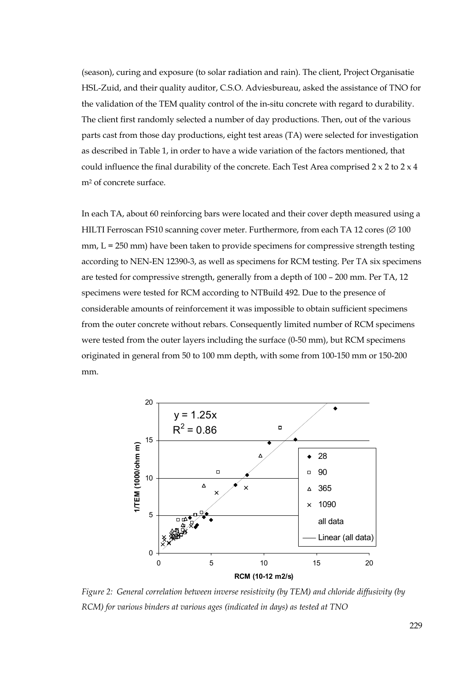(season), curing and exposure (to solar radiation and rain). The client, Project Organisatie HSL-Zuid, and their quality auditor, C.S.O. Adviesbureau, asked the assistance of TNO for the validation of the TEM quality control of the in-situ concrete with regard to durability. The client first randomly selected a number of day productions. Then, out of the various parts cast from those day productions, eight test areas (TA) were selected for investigation as described in Table 1, in order to have a wide variation of the factors mentioned, that could influence the final durability of the concrete. Each Test Area comprised  $2 \times 2$  to  $2 \times 4$ m2 of concrete surface.

In each TA, about 60 reinforcing bars were located and their cover depth measured using a HILTI Ferroscan FS10 scanning cover meter. Furthermore, from each TA 12 cores (∅ 100  $mm, L = 250 mm$ ) have been taken to provide specimens for compressive strength testing according to NEN-EN 12390-3, as well as specimens for RCM testing. Per TA six specimens are tested for compressive strength, generally from a depth of 100 – 200 mm. Per TA, 12 specimens were tested for RCM according to NTBuild 492. Due to the presence of considerable amounts of reinforcement it was impossible to obtain sufficient specimens from the outer concrete without rebars. Consequently limited number of RCM specimens were tested from the outer layers including the surface (0-50 mm), but RCM specimens originated in general from 50 to 100 mm depth, with some from 100-150 mm or 150-200 mm.



*Figure 2: General correlation between inverse resistivity (by TEM) and chloride diffusivity (by RCM) for various binders at various ages (indicated in days) as tested at TNO*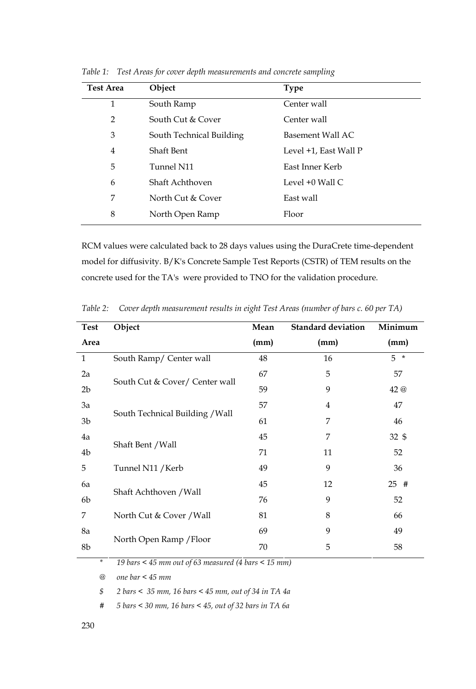| <b>Test Area</b> | Object                   | <b>Type</b>           |
|------------------|--------------------------|-----------------------|
| 1                | South Ramp               | Center wall           |
| $\overline{2}$   | South Cut & Cover        | Center wall           |
| 3                | South Technical Building | Basement Wall AC      |
| $\overline{4}$   | Shaft Bent               | Level +1, East Wall P |
| 5                | Tunnel N11               | East Inner Kerb       |
| 6                | Shaft Achthoven          | Level +0 Wall C       |
| 7                | North Cut & Cover        | East wall             |
| 8                | North Open Ramp          | Floor                 |

*Table 1: Test Areas for cover depth measurements and concrete sampling* 

RCM values were calculated back to 28 days values using the DuraCrete time-dependent model for diffusivity. B/K's Concrete Sample Test Reports (CSTR) of TEM results on the concrete used for the TA's were provided to TNO for the validation procedure.

| <b>Test</b>    | Object                          | Mean | <b>Standard deviation</b> | Minimum          |  |
|----------------|---------------------------------|------|---------------------------|------------------|--|
| Area           |                                 | (mm) | (mm)                      | (mm)             |  |
| $\mathbf{1}$   | South Ramp/ Center wall         | 48   | 16                        | $5*$             |  |
| 2a             |                                 | 67   | 5                         | 57               |  |
| 2 <sub>b</sub> | South Cut & Cover/ Center wall  | 59   | 9                         | 42 @             |  |
| 3a             |                                 | 57   | $\overline{4}$            | 47               |  |
| 3b             | South Technical Building / Wall | 61   | 7                         | 46               |  |
| 4a             |                                 | 45   | 7                         | $32 \text{ }$ \$ |  |
| 4b             | Shaft Bent / Wall               | 71   | 11                        | 52               |  |
| 5              | Tunnel N11 / Kerb               | 49   | 9                         | 36               |  |
| 6a             |                                 | 45   | 12                        | 25#              |  |
| 6b             | Shaft Achthoven / Wall          | 76   | 9                         | 52               |  |
| 7              | North Cut & Cover / Wall        | 81   | 8                         | 66               |  |
| 8a             |                                 | 69   | 9                         | 49               |  |
| 8b             | North Open Ramp / Floor         | 70   | 5                         | 58               |  |
|                |                                 |      |                           |                  |  |

*Table 2: Cover depth measurement results in eight Test Areas (number of bars c. 60 per TA)* 

*\* 19 bars < 45 mm out of 63 measured (4 bars < 15 mm)* 

*@ one bar < 45 mm* 

*\$ 2 bars < 35 mm, 16 bars < 45 mm, out of 34 in TA 4a* 

*# 5 bars < 30 mm, 16 bars < 45, out of 32 bars in TA 6a*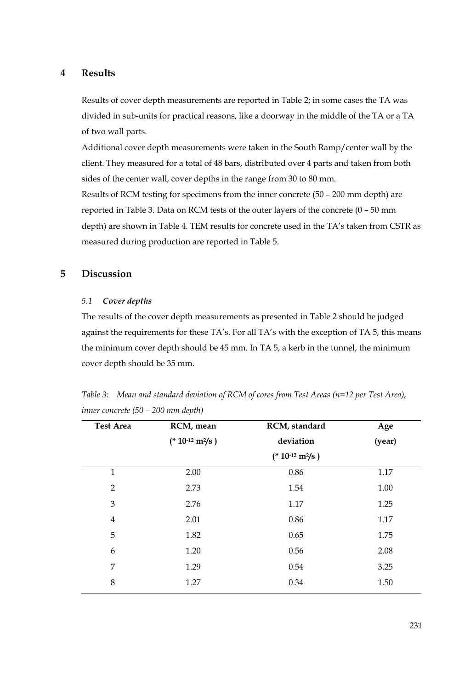## **4 Results**

Results of cover depth measurements are reported in Table 2; in some cases the TA was divided in sub-units for practical reasons, like a doorway in the middle of the TA or a TA of two wall parts.

Additional cover depth measurements were taken in the South Ramp/center wall by the client. They measured for a total of 48 bars, distributed over 4 parts and taken from both sides of the center wall, cover depths in the range from 30 to 80 mm.

Results of RCM testing for specimens from the inner concrete (50 – 200 mm depth) are reported in Table 3. Data on RCM tests of the outer layers of the concrete (0 – 50 mm depth) are shown in Table 4. TEM results for concrete used in the TA's taken from CSTR as measured during production are reported in Table 5.

# **5 Discussion**

#### *5.1 Cover depths*

The results of the cover depth measurements as presented in Table 2 should be judged against the requirements for these TA's. For all TA's with the exception of TA 5, this means the minimum cover depth should be 45 mm. In TA 5, a kerb in the tunnel, the minimum cover depth should be 35 mm.

| <b>Test Area</b> | RCM, mean            | RCM, standard        | Age    |  |  |
|------------------|----------------------|----------------------|--------|--|--|
|                  | $(* 10^{-12} m^2/s)$ | deviation            | (year) |  |  |
|                  |                      | $(* 10^{-12} m^2/s)$ |        |  |  |
| 1                | 2.00                 | 0.86                 | 1.17   |  |  |
| 2                | 2.73                 | 1.54                 | 1.00   |  |  |
| 3                | 2.76                 | 1.17                 | 1.25   |  |  |
| $\overline{4}$   | 2.01                 | 0.86                 | 1.17   |  |  |
| 5                | 1.82                 | 0.65                 | 1.75   |  |  |
| 6                | 1.20                 | 0.56                 | 2.08   |  |  |
| 7                | 1.29                 | 0.54                 | 3.25   |  |  |
| 8                | 1.27                 | 0.34                 | 1.50   |  |  |

*Table 3: Mean and standard deviation of RCM of cores from Test Areas (n=12 per Test Area), inner concrete (50 – 200 mm depth)*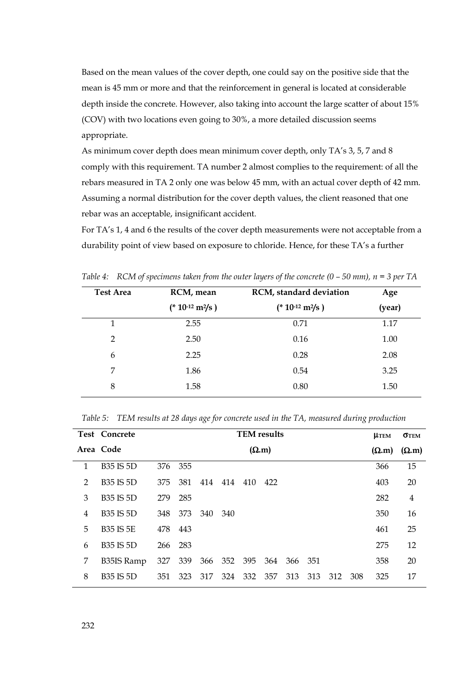Based on the mean values of the cover depth, one could say on the positive side that the mean is 45 mm or more and that the reinforcement in general is located at considerable depth inside the concrete. However, also taking into account the large scatter of about 15% (COV) with two locations even going to 30%, a more detailed discussion seems appropriate.

As minimum cover depth does mean minimum cover depth, only TA's 3, 5, 7 and 8 comply with this requirement. TA number 2 almost complies to the requirement: of all the rebars measured in TA 2 only one was below 45 mm, with an actual cover depth of 42 mm. Assuming a normal distribution for the cover depth values, the client reasoned that one rebar was an acceptable, insignificant accident.

For TA's 1, 4 and 6 the results of the cover depth measurements were not acceptable from a durability point of view based on exposure to chloride. Hence, for these TA's a further

| <b>Test Area</b> | RCM, mean            | RCM, standard deviation | Age    |
|------------------|----------------------|-------------------------|--------|
|                  | $(* 10^{-12} m^2/s)$ | $(* 10^{-12} m^2/s)$    | (year) |
|                  | 2.55                 | 0.71                    | 1.17   |
| $\overline{2}$   | 2.50                 | 0.16                    | 1.00   |
| 6                | 2.25                 | 0.28                    | 2.08   |
| 7                | 1.86                 | 0.54                    | 3.25   |
| 8                | 1.58                 | 0.80                    | 1.50   |
|                  |                      |                         |        |

*Table 4: RCM of specimens taken from the outer layers of the concrete (0 – 50 mm), n = 3 per TA* 

|   | <b>Test Concrete</b> |         | <b>TEM</b> results |              |      |     |         |         | <b>LLTEM</b>  | <b>OTEM</b>   |     |     |    |
|---|----------------------|---------|--------------------|--------------|------|-----|---------|---------|---------------|---------------|-----|-----|----|
|   | Area Code            |         |                    | $(\Omega.m)$ |      |     |         |         | $(\Omega, m)$ | $(\Omega, m)$ |     |     |    |
| 1 | <b>B35 IS 5D</b>     |         | 376 355            |              |      |     |         |         |               |               |     | 366 | 15 |
| 2 | <b>B35 IS 5D</b>     | 375     | 381                | 414          | 414  | 410 | 422     |         |               |               |     | 403 | 20 |
| 3 | <b>B35 IS 5D</b>     | 279     | 285                |              |      |     |         |         |               |               |     | 282 | 4  |
| 4 | <b>B35 IS 5D</b>     | 348     | 373                | 340          | -340 |     |         |         |               |               |     | 350 | 16 |
| 5 | <b>B35 IS 5E</b>     | 478     | 443                |              |      |     |         |         |               |               |     | 461 | 25 |
| 6 | <b>B35 IS 5D</b>     | 266 283 |                    |              |      |     |         |         |               |               |     | 275 | 12 |
| 7 | B35IS Ramp           | 327     | 339                | 366          | 352  | 395 | 364     | 366 351 |               |               |     | 358 | 20 |
| 8 | <b>B35 IS 5D</b>     | 351     | 323                | 317          | 324  |     | 332 357 | 313     | 313           | 312           | 308 | 325 | 17 |
|   |                      |         |                    |              |      |     |         |         |               |               |     |     |    |

*Table 5: TEM results at 28 days age for concrete used in the TA, measured during production*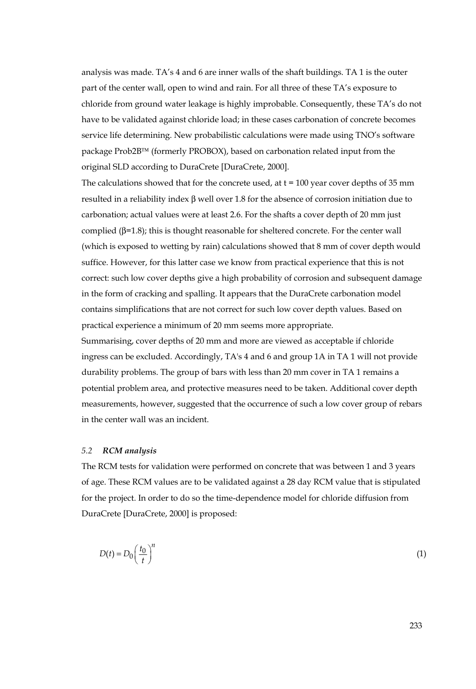analysis was made. TA's 4 and 6 are inner walls of the shaft buildings. TA 1 is the outer part of the center wall, open to wind and rain. For all three of these TA's exposure to chloride from ground water leakage is highly improbable. Consequently, these TA's do not have to be validated against chloride load; in these cases carbonation of concrete becomes service life determining. New probabilistic calculations were made using TNO's software package Prob2B™ (formerly PROBOX), based on carbonation related input from the original SLD according to DuraCrete [DuraCrete, 2000].

The calculations showed that for the concrete used, at  $t = 100$  year cover depths of 35 mm resulted in a reliability index β well over 1.8 for the absence of corrosion initiation due to carbonation; actual values were at least 2.6. For the shafts a cover depth of 20 mm just complied (β=1.8); this is thought reasonable for sheltered concrete. For the center wall (which is exposed to wetting by rain) calculations showed that 8 mm of cover depth would suffice. However, for this latter case we know from practical experience that this is not correct: such low cover depths give a high probability of corrosion and subsequent damage in the form of cracking and spalling. It appears that the DuraCrete carbonation model contains simplifications that are not correct for such low cover depth values. Based on practical experience a minimum of 20 mm seems more appropriate.

Summarising, cover depths of 20 mm and more are viewed as acceptable if chloride ingress can be excluded. Accordingly, TA's 4 and 6 and group 1A in TA 1 will not provide durability problems. The group of bars with less than 20 mm cover in TA 1 remains a potential problem area, and protective measures need to be taken. Additional cover depth measurements, however, suggested that the occurrence of such a low cover group of rebars in the center wall was an incident.

#### *5.2 RCM analysis*

The RCM tests for validation were performed on concrete that was between 1 and 3 years of age. These RCM values are to be validated against a 28 day RCM value that is stipulated for the project. In order to do so the time-dependence model for chloride diffusion from DuraCrete [DuraCrete, 2000] is proposed:

$$
D(t) = D_0 \left(\frac{t_0}{t}\right)^n \tag{1}
$$

233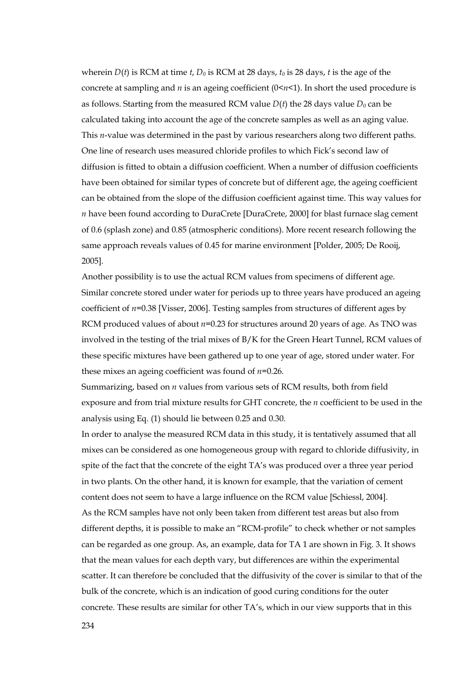wherein  $D(t)$  is RCM at time *t*,  $D_0$  is RCM at 28 days,  $t_0$  is 28 days, *t* is the age of the concrete at sampling and *n* is an ageing coefficient  $(0 \le n \le 1)$ . In short the used procedure is as follows. Starting from the measured RCM value  $D(t)$  the 28 days value  $D_0$  can be calculated taking into account the age of the concrete samples as well as an aging value. This *n*-value was determined in the past by various researchers along two different paths. One line of research uses measured chloride profiles to which Fick's second law of diffusion is fitted to obtain a diffusion coefficient. When a number of diffusion coefficients have been obtained for similar types of concrete but of different age, the ageing coefficient can be obtained from the slope of the diffusion coefficient against time. This way values for *n* have been found according to DuraCrete [DuraCrete, 2000] for blast furnace slag cement of 0.6 (splash zone) and 0.85 (atmospheric conditions). More recent research following the same approach reveals values of 0.45 for marine environment [Polder, 2005; De Rooij, 2005].

Another possibility is to use the actual RCM values from specimens of different age. Similar concrete stored under water for periods up to three years have produced an ageing coefficient of *n*=0.38 [Visser, 2006]. Testing samples from structures of different ages by RCM produced values of about *n*=0.23 for structures around 20 years of age. As TNO was involved in the testing of the trial mixes of B/K for the Green Heart Tunnel, RCM values of these specific mixtures have been gathered up to one year of age, stored under water. For these mixes an ageing coefficient was found of *n*=0.26.

Summarizing, based on *n* values from various sets of RCM results, both from field exposure and from trial mixture results for GHT concrete, the *n* coefficient to be used in the analysis using Eq. (1) should lie between 0.25 and 0.30.

In order to analyse the measured RCM data in this study, it is tentatively assumed that all mixes can be considered as one homogeneous group with regard to chloride diffusivity, in spite of the fact that the concrete of the eight TA's was produced over a three year period in two plants. On the other hand, it is known for example, that the variation of cement content does not seem to have a large influence on the RCM value [Schiessl, 2004]. As the RCM samples have not only been taken from different test areas but also from different depths, it is possible to make an "RCM-profile" to check whether or not samples can be regarded as one group. As, an example, data for TA 1 are shown in Fig. 3. It shows that the mean values for each depth vary, but differences are within the experimental scatter. It can therefore be concluded that the diffusivity of the cover is similar to that of the bulk of the concrete, which is an indication of good curing conditions for the outer concrete. These results are similar for other TA's, which in our view supports that in this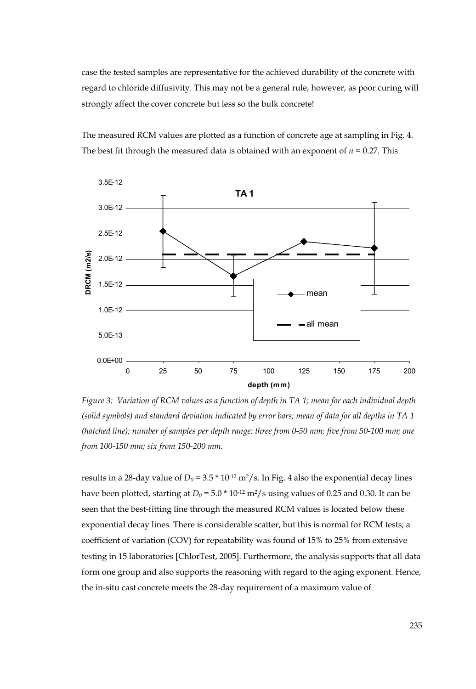case the tested samples are representative for the achieved durability of the concrete with regard to chloride diffusivity. This may not be a general rule, however, as poor curing will strongly affect the cover concrete but less so the bulk concrete!



The measured RCM values are plotted as a function of concrete age at sampling in Fig. 4. The best fit through the measured data is obtained with an exponent of  $n = 0.27$ . This

*Figure 3: Variation of RCM values as a function of depth in TA 1; mean for each individual depth (solid symbols) and standard deviation indicated by error bars; mean of data for all depths in TA 1 (hatched line); number of samples per depth range: three from 0-50 mm; five from 50-100 mm; one from 100-150 mm; six from 150-200 mm.* 

results in a 28-day value of  $D_0 = 3.5 * 10^{12} \text{ m}^2/\text{s}$ . In Fig. 4 also the exponential decay lines have been plotted, starting at  $D_0 = 5.0 * 10^{12} \text{ m}^2/\text{s}$  using values of 0.25 and 0.30. It can be seen that the best-fitting line through the measured RCM values is located below these exponential decay lines. There is considerable scatter, but this is normal for RCM tests; a coefficient of variation (COV) for repeatability was found of 15% to 25% from extensive testing in 15 laboratories [ChlorTest, 2005]. Furthermore, the analysis supports that all data form one group and also supports the reasoning with regard to the aging exponent. Hence, the in-situ cast concrete meets the 28-day requirement of a maximum value of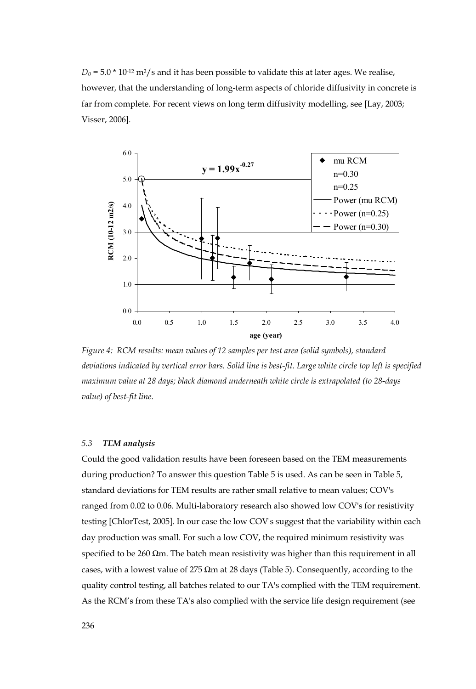$D_0$  = 5.0  $*$  10<sup>-12</sup> m<sup>2</sup>/s and it has been possible to validate this at later ages. We realise, however, that the understanding of long-term aspects of chloride diffusivity in concrete is far from complete. For recent views on long term diffusivity modelling, see [Lay, 2003; Visser, 2006].



*Figure 4: RCM results: mean values of 12 samples per test area (solid symbols), standard deviations indicated by vertical error bars. Solid line is best-fit. Large white circle top left is specified maximum value at 28 days; black diamond underneath white circle is extrapolated (to 28-days value) of best-fit line.* 

#### *5.3 TEM analysis*

Could the good validation results have been foreseen based on the TEM measurements during production? To answer this question Table 5 is used. As can be seen in Table 5, standard deviations for TEM results are rather small relative to mean values; COV's ranged from 0.02 to 0.06. Multi-laboratory research also showed low COV's for resistivity testing [ChlorTest, 2005]. In our case the low COV's suggest that the variability within each day production was small. For such a low COV, the required minimum resistivity was specified to be 260  $\Omega$ m. The batch mean resistivity was higher than this requirement in all cases, with a lowest value of 275  $\Omega$ m at 28 days (Table 5). Consequently, according to the quality control testing, all batches related to our TA's complied with the TEM requirement. As the RCM's from these TA's also complied with the service life design requirement (see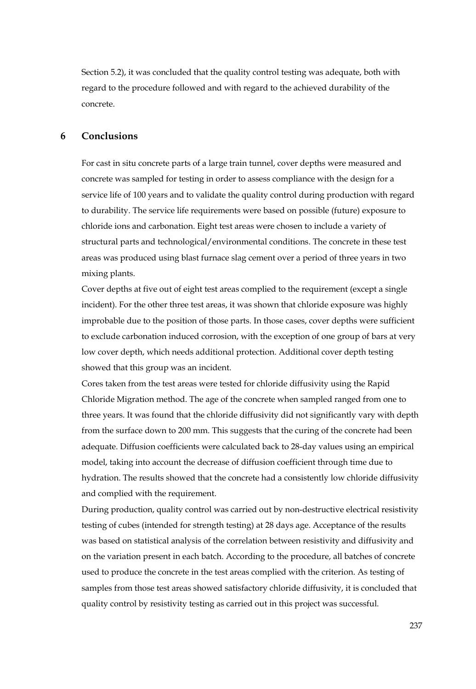Section 5.2), it was concluded that the quality control testing was adequate, both with regard to the procedure followed and with regard to the achieved durability of the concrete.

#### **6 Conclusions**

For cast in situ concrete parts of a large train tunnel, cover depths were measured and concrete was sampled for testing in order to assess compliance with the design for a service life of 100 years and to validate the quality control during production with regard to durability. The service life requirements were based on possible (future) exposure to chloride ions and carbonation. Eight test areas were chosen to include a variety of structural parts and technological/environmental conditions. The concrete in these test areas was produced using blast furnace slag cement over a period of three years in two mixing plants.

Cover depths at five out of eight test areas complied to the requirement (except a single incident). For the other three test areas, it was shown that chloride exposure was highly improbable due to the position of those parts. In those cases, cover depths were sufficient to exclude carbonation induced corrosion, with the exception of one group of bars at very low cover depth, which needs additional protection. Additional cover depth testing showed that this group was an incident.

Cores taken from the test areas were tested for chloride diffusivity using the Rapid Chloride Migration method. The age of the concrete when sampled ranged from one to three years. It was found that the chloride diffusivity did not significantly vary with depth from the surface down to 200 mm. This suggests that the curing of the concrete had been adequate. Diffusion coefficients were calculated back to 28-day values using an empirical model, taking into account the decrease of diffusion coefficient through time due to hydration. The results showed that the concrete had a consistently low chloride diffusivity and complied with the requirement.

During production, quality control was carried out by non-destructive electrical resistivity testing of cubes (intended for strength testing) at 28 days age. Acceptance of the results was based on statistical analysis of the correlation between resistivity and diffusivity and on the variation present in each batch. According to the procedure, all batches of concrete used to produce the concrete in the test areas complied with the criterion. As testing of samples from those test areas showed satisfactory chloride diffusivity, it is concluded that quality control by resistivity testing as carried out in this project was successful.